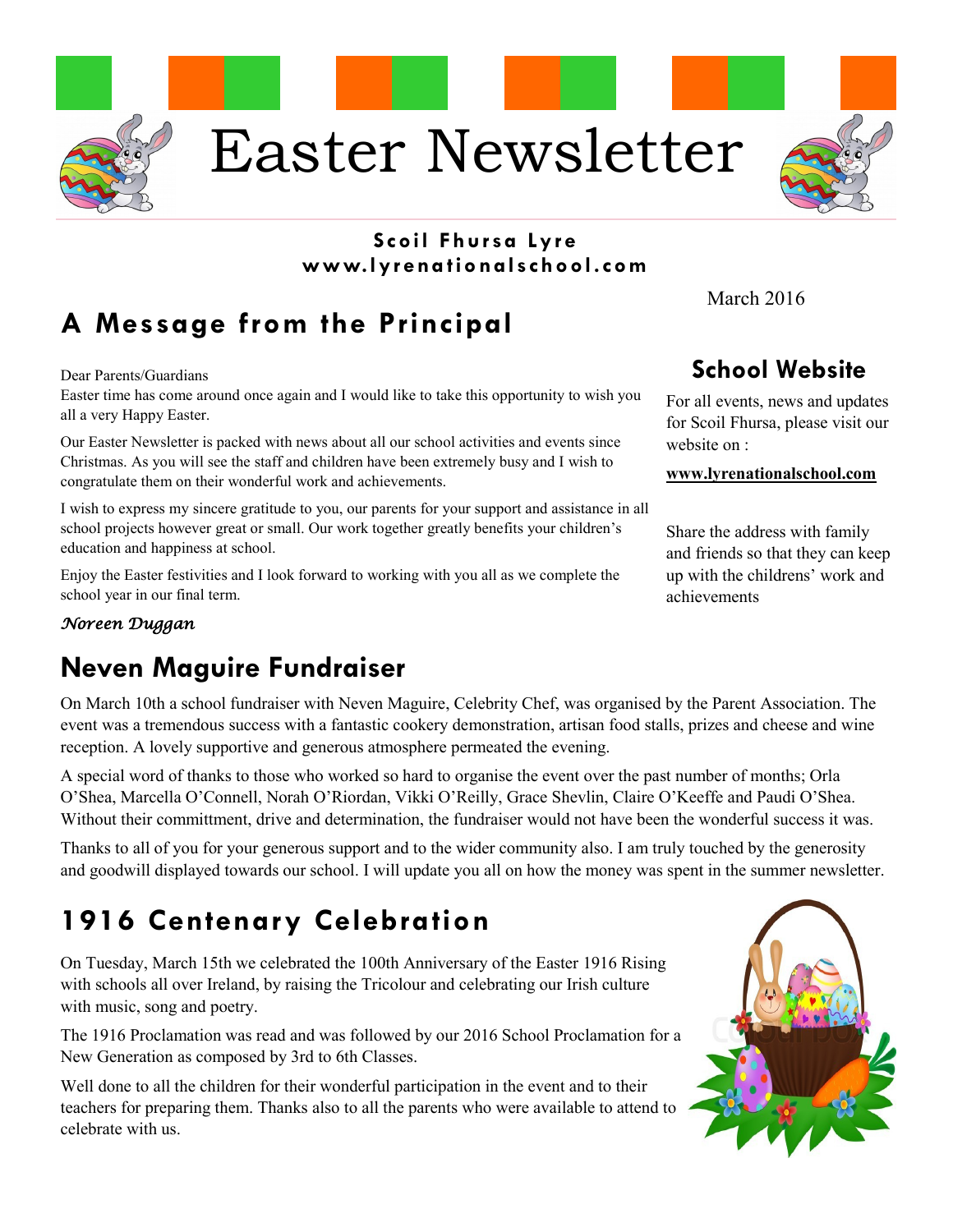

#### **Scoil Fhursa Ly r e www.lyr ena tio nalschool.com**

# **A Message from the Principal**

Dear Parents/Guardians

Easter time has come around once again and I would like to take this opportunity to wish you all a very Happy Easter.

Our Easter Newsletter is packed with news about all our school activities and events since Christmas. As you will see the staff and children have been extremely busy and I wish to congratulate them on their wonderful work and achievements.

I wish to express my sincere gratitude to you, our parents for your support and assistance in all school projects however great or small. Our work together greatly benefits your children's education and happiness at school.

Enjoy the Easter festivities and I look forward to working with you all as we complete the school year in our final term.

#### *Noreen Duggan*

## **Neven Maguire Fundraiser**

On March 10th a school fundraiser with Neven Maguire, Celebrity Chef, was organised by the Parent Association. The event was a tremendous success with a fantastic cookery demonstration, artisan food stalls, prizes and cheese and wine reception. A lovely supportive and generous atmosphere permeated the evening.

A special word of thanks to those who worked so hard to organise the event over the past number of months; Orla O'Shea, Marcella O'Connell, Norah O'Riordan, Vikki O'Reilly, Grace Shevlin, Claire O'Keeffe and Paudi O'Shea. Without their committment, drive and determination, the fundraiser would not have been the wonderful success it was.

Thanks to all of you for your generous support and to the wider community also. I am truly touched by the generosity and goodwill displayed towards our school. I will update you all on how the money was spent in the summer newsletter.

# **1916 Centenary Celebration**

On Tuesday, March 15th we celebrated the 100th Anniversary of the Easter 1916 Rising with schools all over Ireland, by raising the Tricolour and celebrating our Irish culture with music, song and poetry.

The 1916 Proclamation was read and was followed by our 2016 School Proclamation for a New Generation as composed by 3rd to 6th Classes.

Well done to all the children for their wonderful participation in the event and to their teachers for preparing them. Thanks also to all the parents who were available to attend to celebrate with us.

March 2016

#### **School Website**

For all events, news and updates for Scoil Fhursa, please visit our website on :

#### **www.lyrenationalschool.com**

Share the address with family and friends so that they can keep up with the childrens' work and achievements